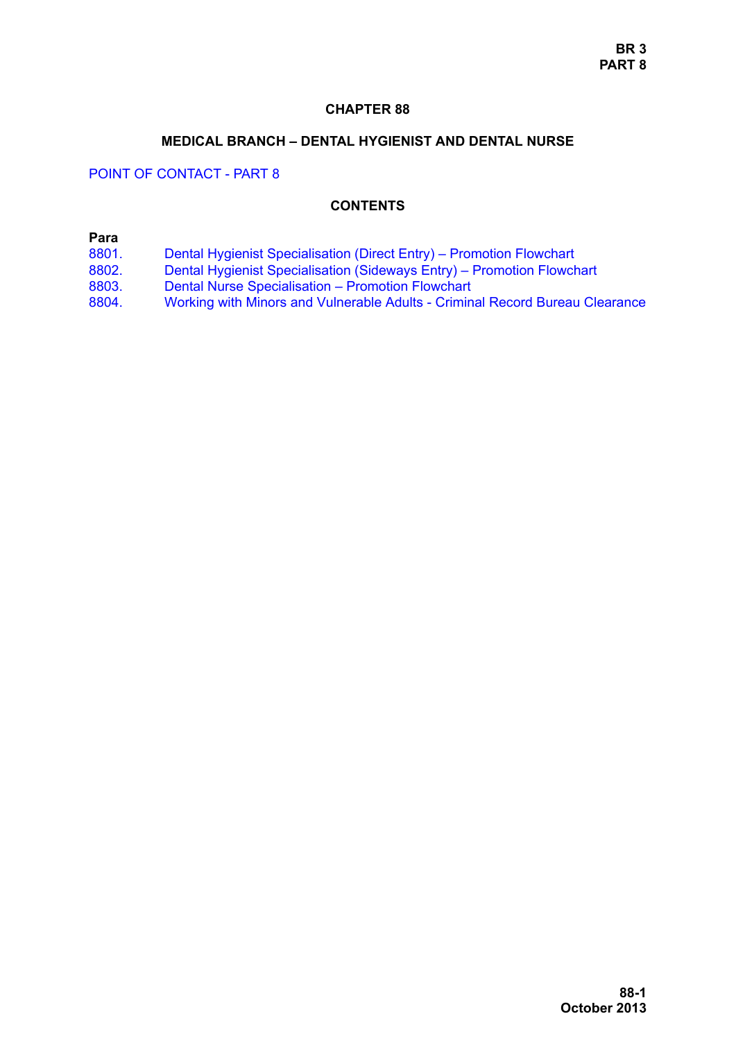### **CHAPTER 88**

#### **MEDICAL BRANCH – DENTAL HYGIENIST AND DENTAL NURSE**

POINT OF CONTACT - PART 8

### **CONTENTS**

### **Para**

- [8801. Dental Hygienist Specialisation \(Direct Entry\) Promotion Flowchart](#page-1-0)
- [8802. Dental Hygienist Specialisation \(Sideways Entry\) Promotion Flowchart](#page-4-0)
- [8803. Dental Nurse Specialisation Promotion Flowchart](#page-5-0)
- [8804. Working with Minors and Vulnerable Adults Criminal Record Bureau Clearance](#page-8-0)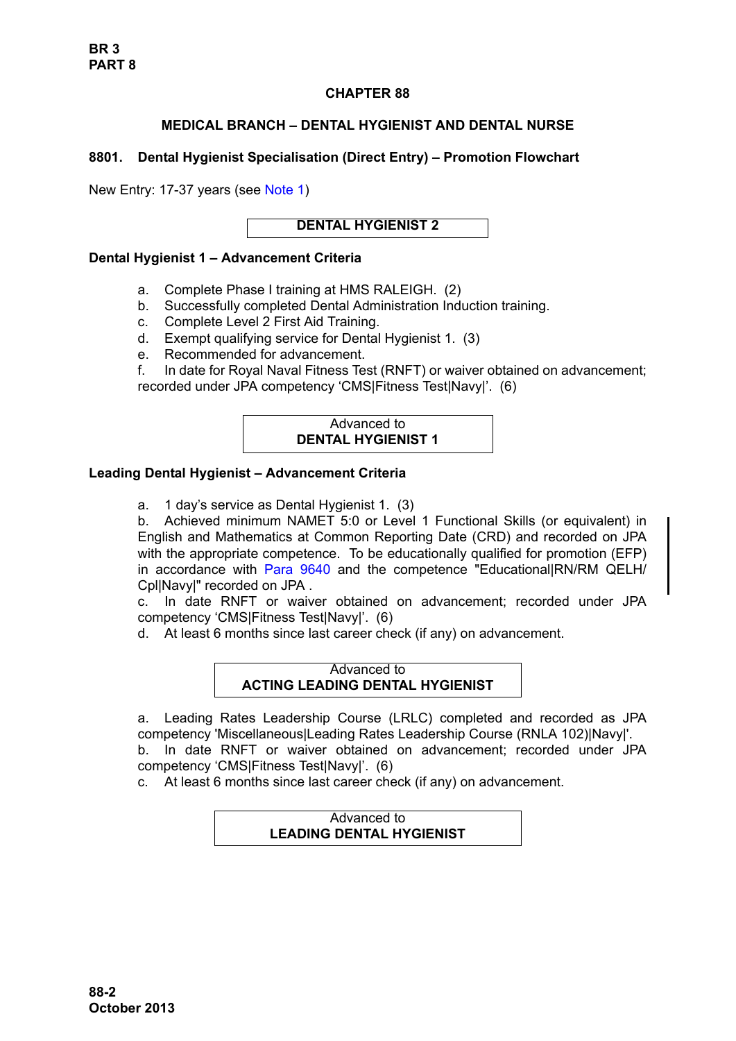## **CHAPTER 88**

# **MEDICAL BRANCH – DENTAL HYGIENIST AND DENTAL NURSE**

# <span id="page-1-0"></span>**8801. Dental Hygienist Specialisation (Direct Entry) – Promotion Flowchart**

New Entry: 17-37 years (see [Note 1\)](#page-3-0)

## **DENTAL HYGIENIST 2**

## **Dental Hygienist 1 – Advancement Criteria**

- a. Complete Phase I training at HMS RALEIGH. (2)
- b. Successfully completed Dental Administration Induction training.
- c. Complete Level 2 First Aid Training.
- d. Exempt qualifying service for Dental Hygienist 1. (3)
- e. Recommended for advancement.

f. In date for Royal Naval Fitness Test (RNFT) or waiver obtained on advancement; recorded under JPA competency 'CMS|Fitness Test|Navy|'. (6)

# Advanced to **DENTAL HYGIENIST 1**

# **Leading Dental Hygienist – Advancement Criteria**

a. 1 day's service as Dental Hygienist 1. (3)

b. Achieved minimum NAMET 5:0 or Level 1 Functional Skills (or equivalent) in English and Mathematics at Common Reporting Date (CRD) and recorded on JPA with the appropriate competence. To be educationally qualified for promotion (EFP) in accordance with [Para 9640](#page-34-0) and the competence "Educational|RN/RM QELH/ Cpl|Navy|" recorded on JPA .

c. In date RNFT or waiver obtained on advancement; recorded under JPA competency 'CMS|Fitness Test|Navy|'. (6)

d. At least 6 months since last career check (if any) on advancement.

Advanced to **ACTING LEADING DENTAL HYGIENIST** 

a. Leading Rates Leadership Course (LRLC) completed and recorded as JPA competency 'Miscellaneous|Leading Rates Leadership Course (RNLA 102)|Navy|'. b. In date RNFT or waiver obtained on advancement; recorded under JPA competency 'CMS|Fitness Test|Navy|'. (6)

c. At least 6 months since last career check (if any) on advancement.

## Advanced to **LEADING DENTAL HYGIENIST**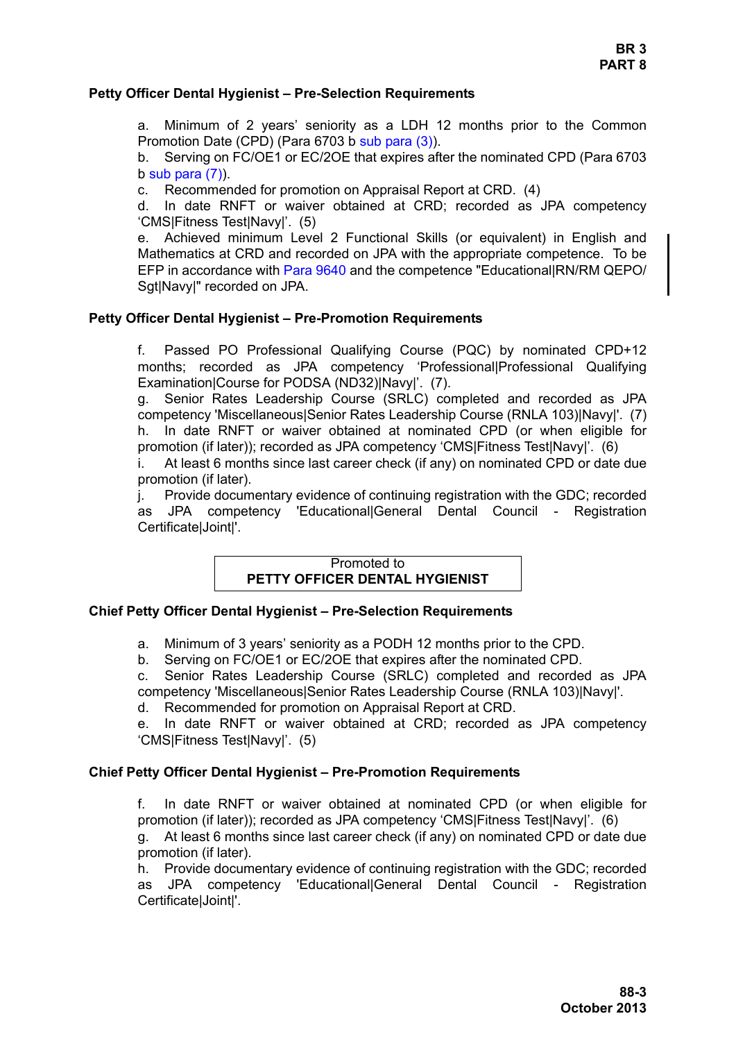### **Petty Officer Dental Hygienist – Pre-Selection Requirements**

a. Minimum of 2 years' seniority as a LDH 12 months prior to the Common Promotion Date (CPD) (Para 6703 b sub para (3)).

b. Serving on FC/OE1 or EC/2OE that expires after the nominated CPD (Para 6703  $b$  sub para  $(7)$ ).

c. Recommended for promotion on Appraisal Report at CRD. (4)

d. In date RNFT or waiver obtained at CRD; recorded as JPA competency 'CMS|Fitness Test|Navy|'. (5)

e. Achieved minimum Level 2 Functional Skills (or equivalent) in English and Mathematics at CRD and recorded on JPA with the appropriate competence. To be EFP in accordance with [Para 9640](#page-34-0) and the competence "Educational|RN/RM QEPO/ Sgt|Navy|" recorded on JPA.

## **Petty Officer Dental Hygienist – Pre-Promotion Requirements**

f. Passed PO Professional Qualifying Course (PQC) by nominated CPD+12 months; recorded as JPA competency 'Professional|Professional Qualifying Examination|Course for PODSA (ND32)|Navy|'. (7).

g. Senior Rates Leadership Course (SRLC) completed and recorded as JPA competency 'Miscellaneous|Senior Rates Leadership Course (RNLA 103)|Navy|'. (7) h. In date RNFT or waiver obtained at nominated CPD (or when eligible for promotion (if later)); recorded as JPA competency 'CMS|Fitness Test|Navy|'. (6)

i. At least 6 months since last career check (if any) on nominated CPD or date due promotion (if later).

j. Provide documentary evidence of continuing registration with the GDC; recorded as JPA competency 'Educational|General Dental Council - Registration Certificate|Joint|'.

### Promoted to **PETTY OFFICER DENTAL HYGIENIST**

#### **Chief Petty Officer Dental Hygienist – Pre-Selection Requirements**

a. Minimum of 3 years' seniority as a PODH 12 months prior to the CPD.

b. Serving on FC/OE1 or EC/2OE that expires after the nominated CPD.

c. Senior Rates Leadership Course (SRLC) completed and recorded as JPA competency 'Miscellaneous|Senior Rates Leadership Course (RNLA 103)|Navy|'.

d. Recommended for promotion on Appraisal Report at CRD.

e. In date RNFT or waiver obtained at CRD; recorded as JPA competency 'CMS|Fitness Test|Navy|'. (5)

#### **Chief Petty Officer Dental Hygienist – Pre-Promotion Requirements**

f. In date RNFT or waiver obtained at nominated CPD (or when eligible for promotion (if later)); recorded as JPA competency 'CMS|Fitness Test|Navy|'. (6)

g. At least 6 months since last career check (if any) on nominated CPD or date due promotion (if later).

h. Provide documentary evidence of continuing registration with the GDC; recorded as JPA competency 'Educational|General Dental Council - Registration Certificate|Joint|'.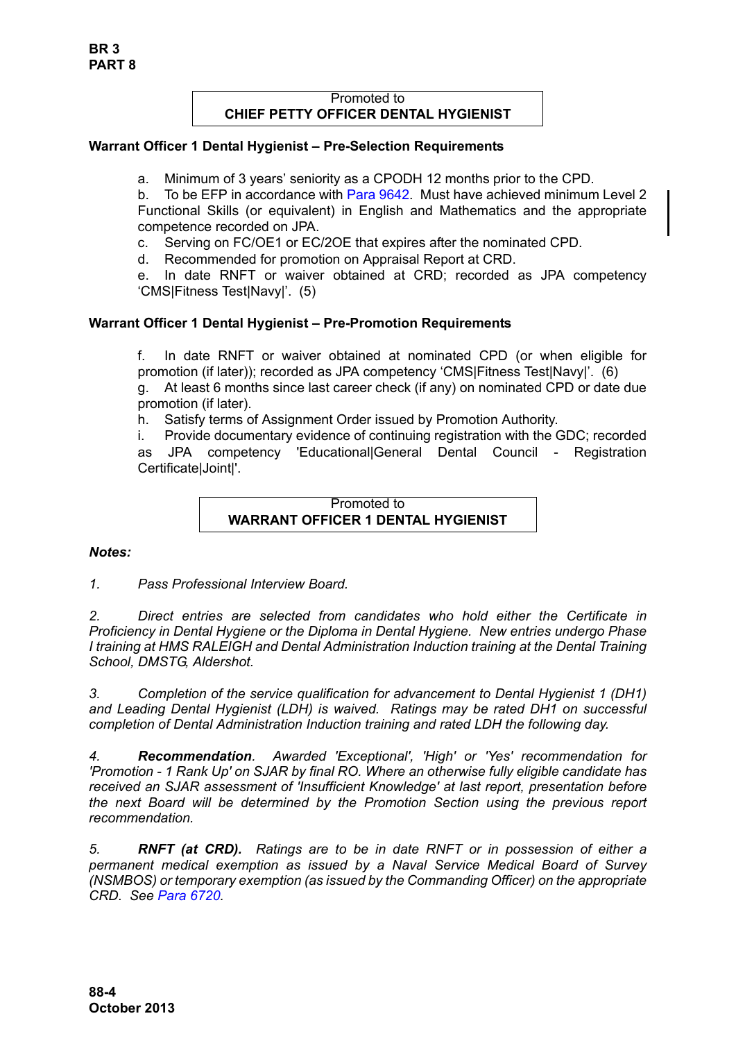## Promoted to **CHIEF PETTY OFFICER DENTAL HYGIENIST**

### **Warrant Officer 1 Dental Hygienist – Pre-Selection Requirements**

a. Minimum of 3 years' seniority as a CPODH 12 months prior to the CPD.

b. To be EFP in accordance with [Para 9642.](#page-35-0) Must have achieved minimum Level 2 Functional Skills (or equivalent) in English and Mathematics and the appropriate competence recorded on JPA.

c. Serving on FC/OE1 or EC/2OE that expires after the nominated CPD.

d. Recommended for promotion on Appraisal Report at CRD.

e. In date RNFT or waiver obtained at CRD; recorded as JPA competency 'CMS|Fitness Test|Navy|'. (5)

## **Warrant Officer 1 Dental Hygienist – Pre-Promotion Requirements**

f. In date RNFT or waiver obtained at nominated CPD (or when eligible for promotion (if later)); recorded as JPA competency 'CMS|Fitness Test|Navy|'. (6)

g. At least 6 months since last career check (if any) on nominated CPD or date due promotion (if later).

h. Satisfy terms of Assignment Order issued by Promotion Authority.

i. Provide documentary evidence of continuing registration with the GDC; recorded as JPA competency 'Educational|General Dental Council - Registration Certificate|Joint|'.

#### Promoted to **WARRANT OFFICER 1 DENTAL HYGIENIST**

#### *Notes:*

<span id="page-3-0"></span>*1. Pass Professional Interview Board.*

*2. Direct entries are selected from candidates who hold either the Certificate in Proficiency in Dental Hygiene or the Diploma in Dental Hygiene. New entries undergo Phase I training at HMS RALEIGH and Dental Administration Induction training at the Dental Training School, DMSTG, Aldershot.*

*3. Completion of the service qualification for advancement to Dental Hygienist 1 (DH1) and Leading Dental Hygienist (LDH) is waived. Ratings may be rated DH1 on successful completion of Dental Administration Induction training and rated LDH the following day.* 

*4. Recommendation. Awarded 'Exceptional', 'High' or 'Yes' recommendation for 'Promotion - 1 Rank Up' on SJAR by final RO. Where an otherwise fully eligible candidate has received an SJAR assessment of 'Insufficient Knowledge' at last report, presentation before the next Board will be determined by the Promotion Section using the previous report recommendation.* 

*5. RNFT (at CRD). Ratings are to be in date RNFT or in possession of either a permanent medical exemption as issued by a Naval Service Medical Board of Survey (NSMBOS) or temporary exemption (as issued by the Commanding Officer) on the appropriate CRD. See Para 6720.*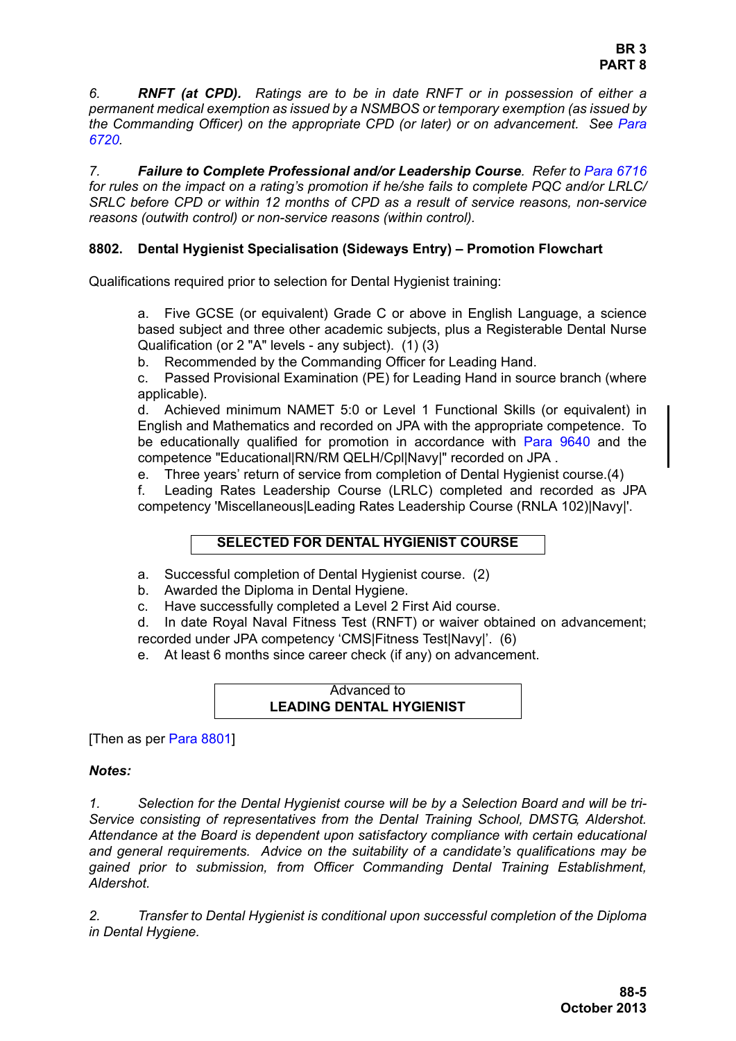*6. RNFT (at CPD). Ratings are to be in date RNFT or in possession of either a permanent medical exemption as issued by a NSMBOS or temporary exemption (as issued by the Commanding Officer) on the appropriate CPD (or later) or on advancement. See Para 6720.*

*7. Failure to Complete Professional and/or Leadership Course. Refer to Para 6716 for rules on the impact on a rating's promotion if he/she fails to complete PQC and/or LRLC/ SRLC before CPD or within 12 months of CPD as a result of service reasons, non-service reasons (outwith control) or non-service reasons (within control).*

### <span id="page-4-0"></span>**8802. Dental Hygienist Specialisation (Sideways Entry) – Promotion Flowchart**

Qualifications required prior to selection for Dental Hygienist training:

a. Five GCSE (or equivalent) Grade C or above in English Language, a science based subject and three other academic subjects, plus a Registerable Dental Nurse Qualification (or 2 "A" levels - any subject). (1) (3)

b. Recommended by the Commanding Officer for Leading Hand.

c. Passed Provisional Examination (PE) for Leading Hand in source branch (where applicable).

d. Achieved minimum NAMET 5:0 or Level 1 Functional Skills (or equivalent) in English and Mathematics and recorded on JPA with the appropriate competence. To be educationally qualified for promotion in accordance with [Para 9640](#page-34-0) and the competence "Educational|RN/RM QELH/Cpl|Navy|" recorded on JPA .

e. Three years' return of service from completion of Dental Hygienist course.(4)

f. Leading Rates Leadership Course (LRLC) completed and recorded as JPA competency 'Miscellaneous|Leading Rates Leadership Course (RNLA 102)|Navy|'.

#### **SELECTED FOR DENTAL HYGIENIST COURSE**

a. Successful completion of Dental Hygienist course. (2)

b. Awarded the Diploma in Dental Hygiene.

c. Have successfully completed a Level 2 First Aid course.

d. In date Royal Naval Fitness Test (RNFT) or waiver obtained on advancement; recorded under JPA competency 'CMS|Fitness Test|Navy|'. (6)

e. At least 6 months since career check (if any) on advancement.

#### Advanced to **LEADING DENTAL HYGIENIST**

[Then as per [Para 8801](#page-1-0)]

#### *Notes:*

*1. Selection for the Dental Hygienist course will be by a Selection Board and will be tri-Service consisting of representatives from the Dental Training School, DMSTG, Aldershot. Attendance at the Board is dependent upon satisfactory compliance with certain educational and general requirements. Advice on the suitability of a candidate's qualifications may be gained prior to submission, from Officer Commanding Dental Training Establishment, Aldershot.*

*2. Transfer to Dental Hygienist is conditional upon successful completion of the Diploma in Dental Hygiene.*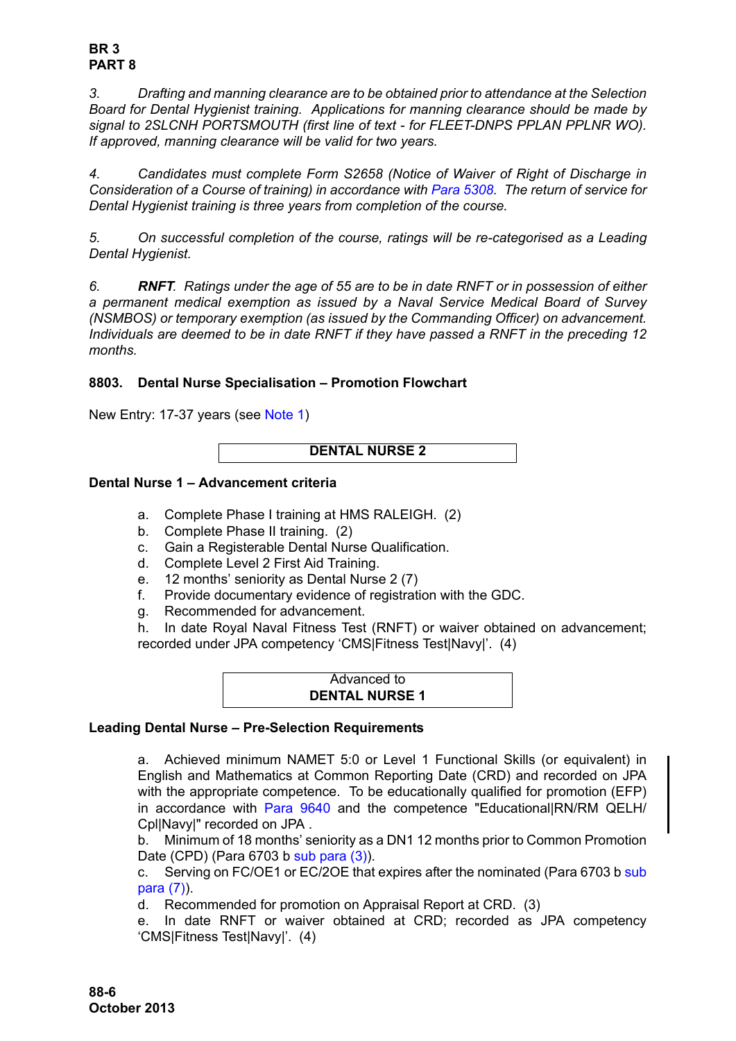### **BR 3 PART 8**

*3. Drafting and manning clearance are to be obtained prior to attendance at the Selection Board for Dental Hygienist training. Applications for manning clearance should be made by signal to 2SLCNH PORTSMOUTH (first line of text - for FLEET-DNPS PPLAN PPLNR WO). If approved, manning clearance will be valid for two years.* 

*4. Candidates must complete Form S2658 (Notice of Waiver of Right of Discharge in Consideration of a Course of training) in accordance with Para 5308. The return of service for Dental Hygienist training is three years from completion of the course.*

*5. On successful completion of the course, ratings will be re-categorised as a Leading Dental Hygienist.*

*6. RNFT. Ratings under the age of 55 are to be in date RNFT or in possession of either a permanent medical exemption as issued by a Naval Service Medical Board of Survey (NSMBOS) or temporary exemption (as issued by the Commanding Officer) on advancement. Individuals are deemed to be in date RNFT if they have passed a RNFT in the preceding 12 months.*

# <span id="page-5-0"></span>**8803. Dental Nurse Specialisation – Promotion Flowchart**

New Entry: 17-37 years (see [Note 1\)](#page-7-0)

```
DENTAL NURSE 2
```
## **Dental Nurse 1 – Advancement criteria**

- a. Complete Phase I training at HMS RALEIGH. (2)
- b. Complete Phase II training. (2)
- c. Gain a Registerable Dental Nurse Qualification.
- d. Complete Level 2 First Aid Training.
- e. 12 months' seniority as Dental Nurse 2 (7)
- f. Provide documentary evidence of registration with the GDC.
- g. Recommended for advancement.

h. In date Royal Naval Fitness Test (RNFT) or waiver obtained on advancement; recorded under JPA competency 'CMS|Fitness Test|Navy|'. (4)

| Advanced to           |  |
|-----------------------|--|
| <b>DENTAL NURSE 1</b> |  |

#### **Leading Dental Nurse – Pre-Selection Requirements**

a. Achieved minimum NAMET 5:0 or Level 1 Functional Skills (or equivalent) in English and Mathematics at Common Reporting Date (CRD) and recorded on JPA with the appropriate competence. To be educationally qualified for promotion (EFP) in accordance with [Para 9640](#page-34-0) and the competence "Educational|RN/RM QELH/ Cpl|Navy|" recorded on JPA .

b. Minimum of 18 months' seniority as a DN1 12 months prior to Common Promotion Date (CPD) (Para 6703 b sub para (3)).

c. Serving on FC/OE1 or EC/2OE that expires after the nominated (Para 6703 b sub para (7)).

d. Recommended for promotion on Appraisal Report at CRD. (3)

e. In date RNFT or waiver obtained at CRD; recorded as JPA competency 'CMS|Fitness Test|Navy|'. (4)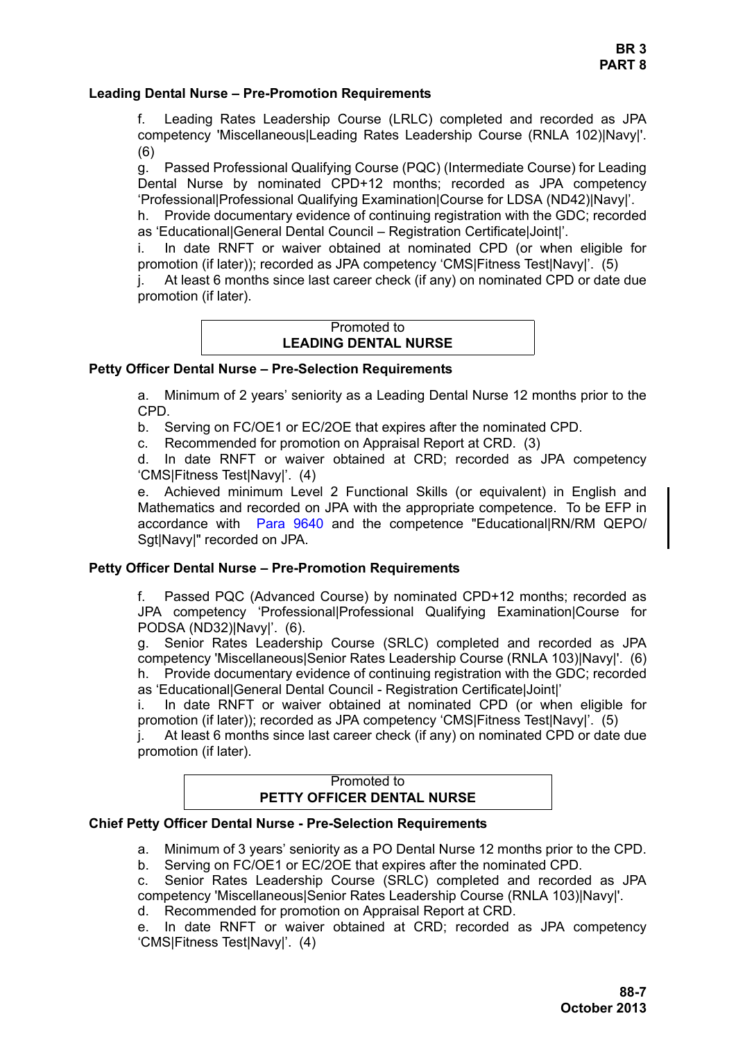#### **Leading Dental Nurse – Pre-Promotion Requirements**

f. Leading Rates Leadership Course (LRLC) completed and recorded as JPA competency 'Miscellaneous|Leading Rates Leadership Course (RNLA 102)|Navy|'. (6)

g. Passed Professional Qualifying Course (PQC) (Intermediate Course) for Leading Dental Nurse by nominated CPD+12 months; recorded as JPA competency 'Professional|Professional Qualifying Examination|Course for LDSA (ND42)|Navy|'.

h. Provide documentary evidence of continuing registration with the GDC; recorded as 'Educational|General Dental Council – Registration Certificate|Joint|'.

i. In date RNFT or waiver obtained at nominated CPD (or when eligible for promotion (if later)); recorded as JPA competency 'CMS|Fitness Test|Navy|'. (5)

j. At least 6 months since last career check (if any) on nominated CPD or date due promotion (if later).

# Promoted to **LEADING DENTAL NURSE**

### **Petty Officer Dental Nurse – Pre-Selection Requirements**

a. Minimum of 2 years' seniority as a Leading Dental Nurse 12 months prior to the CPD.

b. Serving on FC/OE1 or EC/2OE that expires after the nominated CPD.

c. Recommended for promotion on Appraisal Report at CRD. (3)

d. In date RNFT or waiver obtained at CRD; recorded as JPA competency 'CMS|Fitness Test|Navy|'. (4)

e. Achieved minimum Level 2 Functional Skills (or equivalent) in English and Mathematics and recorded on JPA with the appropriate competence. To be EFP in accordance with [Para 9640](#page-34-0) and the competence "Educational|RN/RM QEPO/ SatINavyl" recorded on JPA.

#### **Petty Officer Dental Nurse – Pre-Promotion Requirements**

f. Passed PQC (Advanced Course) by nominated CPD+12 months; recorded as JPA competency 'Professional|Professional Qualifying Examination|Course for PODSA (ND32)|Navy|'. (6).

g. Senior Rates Leadership Course (SRLC) completed and recorded as JPA competency 'Miscellaneous|Senior Rates Leadership Course (RNLA 103)|Navy|'. (6) h. Provide documentary evidence of continuing registration with the GDC; recorded as 'Educational|General Dental Council - Registration Certificate|Joint|'

i. In date RNFT or waiver obtained at nominated CPD (or when eligible for promotion (if later)); recorded as JPA competency 'CMS|Fitness Test|Navy|'. (5)

j. At least 6 months since last career check (if any) on nominated CPD or date due promotion (if later).

### Promoted to **PETTY OFFICER DENTAL NURSE**

#### **Chief Petty Officer Dental Nurse - Pre-Selection Requirements**

- a. Minimum of 3 years' seniority as a PO Dental Nurse 12 months prior to the CPD.
- b. Serving on FC/OE1 or EC/2OE that expires after the nominated CPD.
- c. Senior Rates Leadership Course (SRLC) completed and recorded as JPA competency 'Miscellaneous|Senior Rates Leadership Course (RNLA 103)|Navy|'.
- d. Recommended for promotion on Appraisal Report at CRD.

e. In date RNFT or waiver obtained at CRD; recorded as JPA competency 'CMS|Fitness Test|Navy|'. (4)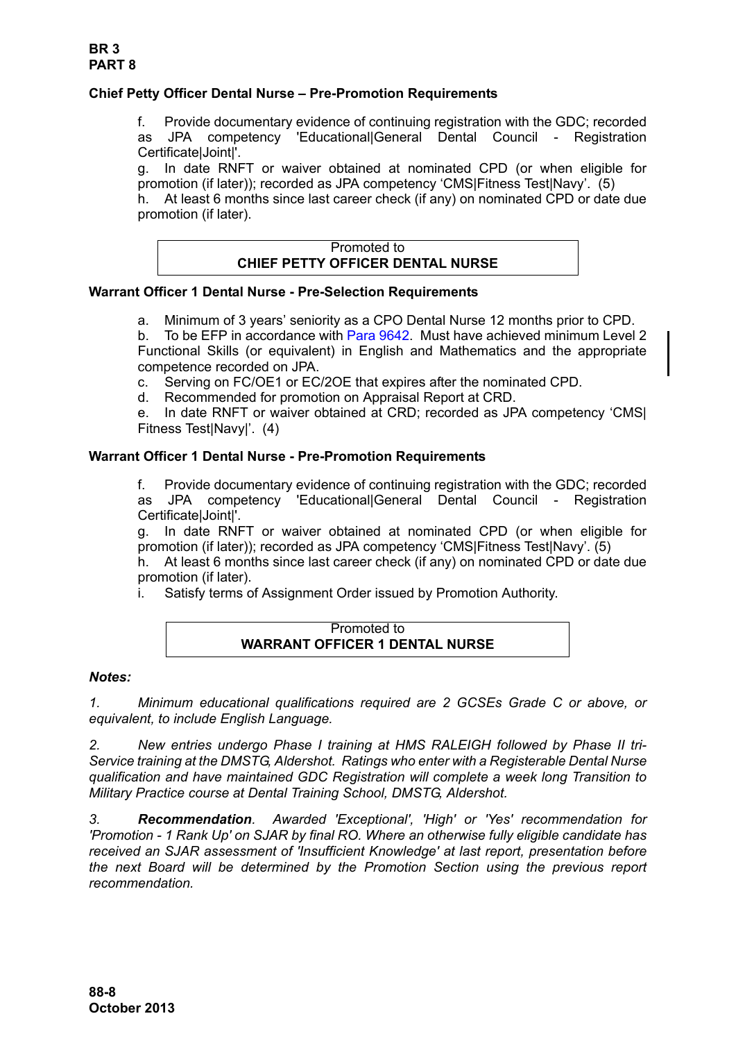## **Chief Petty Officer Dental Nurse – Pre-Promotion Requirements**

f. Provide documentary evidence of continuing registration with the GDC; recorded as JPA competency 'Educational|General Dental Council - Registration Certificate|Joint|'.

g. In date RNFT or waiver obtained at nominated CPD (or when eligible for promotion (if later)); recorded as JPA competency 'CMS|Fitness Test|Navy'. (5)

h. At least 6 months since last career check (if any) on nominated CPD or date due promotion (if later).

| Promoted to                             |
|-----------------------------------------|
| <b>CHIEF PETTY OFFICER DENTAL NURSE</b> |

### **Warrant Officer 1 Dental Nurse - Pre-Selection Requirements**

a. Minimum of 3 years' seniority as a CPO Dental Nurse 12 months prior to CPD.

b. To be EFP in accordance with [Para 9642.](#page-35-0) Must have achieved minimum Level 2 Functional Skills (or equivalent) in English and Mathematics and the appropriate competence recorded on JPA.

- c. Serving on FC/OE1 or EC/2OE that expires after the nominated CPD.
- d. Recommended for promotion on Appraisal Report at CRD.

e. In date RNFT or waiver obtained at CRD; recorded as JPA competency 'CMS| Fitness Test|Navy|'. (4)

### **Warrant Officer 1 Dental Nurse - Pre-Promotion Requirements**

f. Provide documentary evidence of continuing registration with the GDC; recorded as JPA competency 'Educational|General Dental Council - Registration Certificate|Joint|'.

g. In date RNFT or waiver obtained at nominated CPD (or when eligible for promotion (if later)); recorded as JPA competency 'CMS|Fitness Test|Navy'. (5)

h. At least 6 months since last career check (if any) on nominated CPD or date due promotion (if later).

i. Satisfy terms of Assignment Order issued by Promotion Authority.

## Promoted to **WARRANT OFFICER 1 DENTAL NURSE**

#### *Notes:*

<span id="page-7-0"></span>*1. Minimum educational qualifications required are 2 GCSEs Grade C or above, or equivalent, to include English Language.*

*2. New entries undergo Phase I training at HMS RALEIGH followed by Phase II tri-Service training at the DMSTG, Aldershot. Ratings who enter with a Registerable Dental Nurse qualification and have maintained GDC Registration will complete a week long Transition to Military Practice course at Dental Training School, DMSTG, Aldershot.*

*3. Recommendation. Awarded 'Exceptional', 'High' or 'Yes' recommendation for 'Promotion - 1 Rank Up' on SJAR by final RO. Where an otherwise fully eligible candidate has received an SJAR assessment of 'Insufficient Knowledge' at last report, presentation before the next Board will be determined by the Promotion Section using the previous report recommendation.*